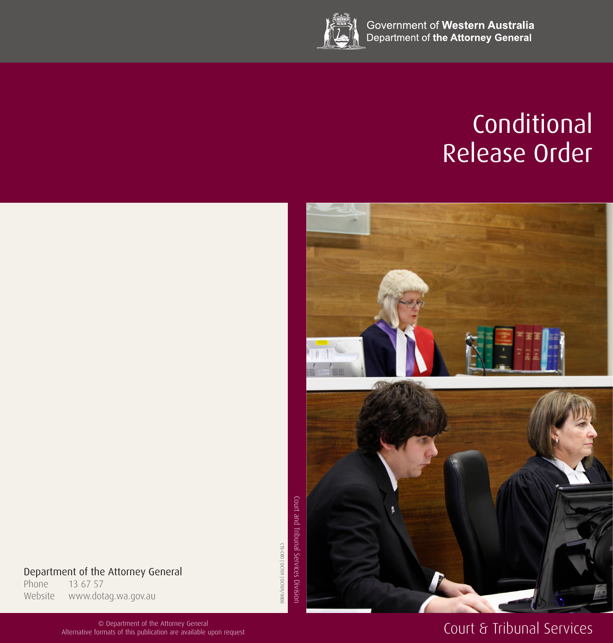

Government of Western Australia<br>Department of the Attorney General

# Conditional Release Order



CTS-CRO | OCT09 | OCT09/0000

# Department of the Attorney General

Phone 13 67 57 Website www.dotag.wa.gov.au

> © Department of the Attorney General Alternative formats of this publication are available upon request

# Court & Tribunal Services